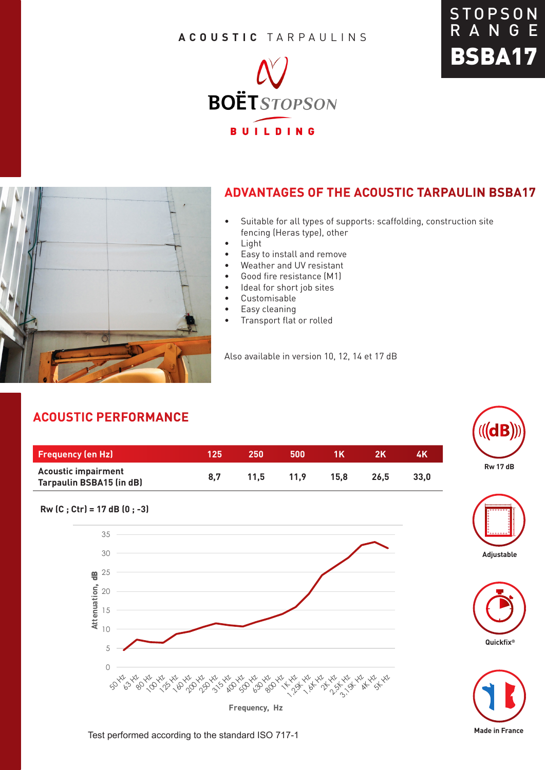#### **ACOUSTIC** TARPAULINS







### **ADVANTAGES OF THE ACOUSTIC TARPAULIN BSBA17**

- Suitable for all types of supports: scaffolding, construction site fencing (Heras type), other
- Light
- Easy to install and remove
- Weather and UV resistant
- Good fire resistance (M1)
- Ideal for short job sites
- Customisable
- Easy cleaning
- Transport flat or rolled

Also available in version 10, 12, 14 et 17 dB

## **ACOUSTIC PERFORMANCE**

| <b>Frequency (en Hz)</b>                                      | '125. | 250  | 500  | 1 K  |      | 4K   |
|---------------------------------------------------------------|-------|------|------|------|------|------|
| <b>Acoustic impairment</b><br><b>Tarpaulin BSBA15 (in dB)</b> | 8.7   | 11.5 | 11.9 | 15.8 | 26.5 | 33.0 |













Test performed according to the standard ISO 717-1